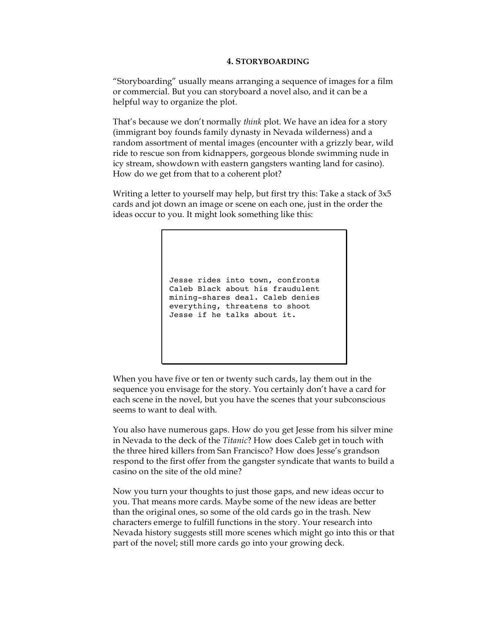## **4. STORYBOARDING**

"Storyboarding" usually means arranging a sequence of images for a film or commercial. But you can storyboard a novel also, and it can be a helpful way to organize the plot.

That's because we don't normally *think* plot. We have an idea for a story (immigrant boy founds family dynasty in Nevada wilderness) and a random assortment of mental images (encounter with a grizzly bear, wild ride to rescue son from kidnappers, gorgeous blonde swimming nude in icy stream, showdown with eastern gangsters wanting land for casino). How do we get from that to a coherent plot?

Writing a letter to yourself may help, but first try this: Take a stack of 3x5 cards and jot down an image or scene on each one, just in the order the ideas occur to you. It might look something like this:

> Jesse rides into town, confronts Caleb Black about his fraudulent mining-shares deal. Caleb denies everything, threatens to shoot Jesse if he talks about it.

When you have five or ten or twenty such cards, lay them out in the sequence you envisage for the story. You certainly don't have a card for each scene in the novel, but you have the scenes that your subconscious seems to want to deal with.

You also have numerous gaps. How do you get Jesse from his silver mine in Nevada to the deck of the *Titanic*? How does Caleb get in touch with the three hired killers from San Francisco? How does Jesse's grandson respond to the first offer from the gangster syndicate that wants to build a casino on the site of the old mine?

Now you turn your thoughts to just those gaps, and new ideas occur to you. That means more cards. Maybe some of the new ideas are better than the original ones, so some of the old cards go in the trash. New characters emerge to fulfill functions in the story. Your research into Nevada history suggests still more scenes which might go into this or that part of the novel; still more cards go into your growing deck.